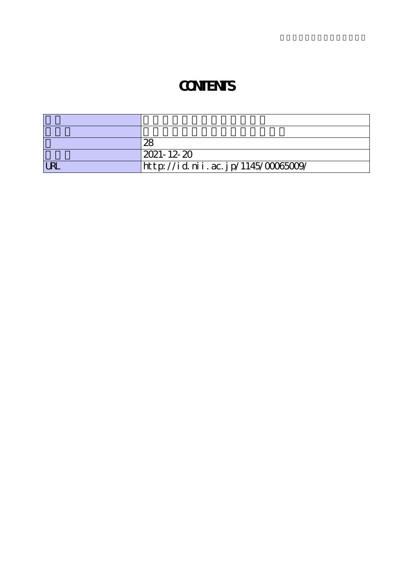## **CONTENTS**

|            | 28                                 |
|------------|------------------------------------|
|            | 2021-12-20                         |
| <b>LRI</b> | http://id.nii.ac.jp/1145/00065009/ |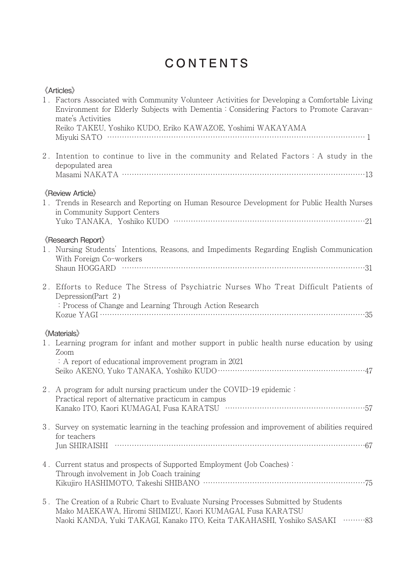## CONTENTS

| <b>《Articles》</b><br>1. Factors Associated with Community Volunteer Activities for Developing a Comfortable Living<br>Environment for Elderly Subjects with Dementia: Considering Factors to Promote Caravan-<br>mate's Activities<br>Reiko TAKEU, Yoshiko KUDO, Eriko KAWAZOE, Yoshimi WAKAYAMA |
|--------------------------------------------------------------------------------------------------------------------------------------------------------------------------------------------------------------------------------------------------------------------------------------------------|
|                                                                                                                                                                                                                                                                                                  |
| 2. Intention to continue to live in the community and Related Factors: A study in the<br>depopulated area                                                                                                                                                                                        |
| <b>《Review Article》</b><br>1. Trends in Research and Reporting on Human Resource Development for Public Health Nurses<br>in Community Support Centers                                                                                                                                            |
| <b>《Research Report》</b><br>1. Nursing Students' Intentions, Reasons, and Impediments Regarding English Communication<br>With Foreign Co-workers                                                                                                                                                 |
| 2. Efforts to Reduce The Stress of Psychiatric Nurses Who Treat Difficult Patients of<br>Depression(Part 2)<br>: Process of Change and Learning Through Action Research                                                                                                                          |
| <b>《Materials》</b><br>1. Learning program for infant and mother support in public health nurse education by using<br>Zoom<br>: A report of educational improvement program in 2021                                                                                                               |
| 2. A program for adult nursing practicum under the COVID-19 epidemic:<br>Practical report of alternative practicum in campus                                                                                                                                                                     |
| 3. Survey on systematic learning in the teaching profession and improvement of abilities required<br>for teachers                                                                                                                                                                                |
| 4. Current status and prospects of Supported Employment (Job Coaches):<br>Through involvement in Job Coach training                                                                                                                                                                              |
| 5. The Creation of a Rubric Chart to Evaluate Nursing Processes Submitted by Students<br>Mako MAEKAWA, Hiromi SHIMIZU, Kaori KUMAGAI, Fusa KARATSU<br>Naoki KANDA, Yuki TAKAGI, Kanako ITO, Keita TAKAHASHI, Yoshiko SASAKI ·········83                                                          |